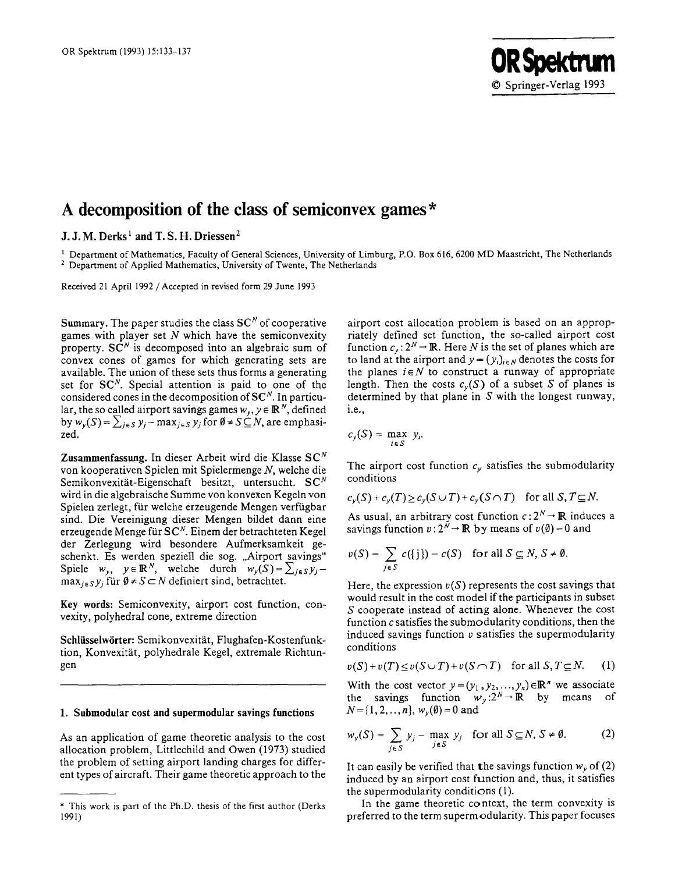# **A decomposition of the class of semiconvex games\***

# **J. J. M. Derks i and T. S. H. Driessen 2**

<sup>1</sup> Department of Mathematics, Faculty of General Sciences, University of Limburg, P.O. Box 616, 6200 MD Maastricht, The Netherlands <sup>2</sup> Department of Applied Mathematics, University of Twente, The Netherlands

Received 21 April 1992 /Accepted in revised form 29 June 1993

Summary. The paper studies the class  $SC^N$  of cooperative games with player set  $N$  which have the semiconvexity property.  $S\overline{C}^N$  is decomposed into an algebraic sum of convex cones of games for which generating sets are available. The union of these sets thus forms a generating set for  $SC<sup>N</sup>$ . Special attention is paid to one of the considered cones in the decomposition of  $SC<sup>N</sup>$ . In particular, the so called airport savings games  $w_y$ ,  $y \in \mathbb{R}^N$ , defined by  $w_y(S) = \sum_{j \in S} y_j - \max_{j \in S} y_j$  for  $\emptyset \neq S \subseteq N$ , are emphasized.

Zusammenfassung. In dieser Arbeit wird die Klasse SC<sup>N</sup> von kooperativen Spielen mit Spielermenge N, welche die Semikonvexität-Eigenschaft besitzt, untersucht. SC<sup>N</sup> wird in die algebraische Summe von konvexen Kegeln von Spielen zerlegt, für welche erzeugende Mengen verfügbar sind. Die Vereinigung dieser Mengen bildet dann eine erzeugende Menge für  $SC^N$ . Einem der betrachteten Kegel der Zerlegung wird besondere Aufmerksamkeit geschenkt. Es werden speziell die sog. "Airport savings"  $\text{Spiele} \quad w_y, \quad y \in \mathbb{R}^N$ , welche durch  $w_y(S) = \sum_{j \in S} y_j$  $\max_{i \in S} y_i$  für  $\emptyset \neq S \subset N$  definiert sind, betrachtet.

Key words: Semiconvexity, airport cost function, convexity, polyhedral cone, extreme direction

Schlüsselwörter: Semikonvexität, Flughafen-Kostenfunktion, Konvexität, polyhedrale Kegel, extremale Richtungen

## **1. Submodular cost and supermodular savings functions**

As an application of game theoretic analysis to the cost allocation problem, Littlechild and Owen (1973) studied the problem of setting airport landing charges for different types of aircraft. Their game theoretic approach to the airport cost allocation problem is based on an appropriately defined set function, the so-called airport cost function  $c_v: 2^N \to \mathbb{R}$ . Here N is the set of planes which are to land at the airport and  $y = (y_i)_{i \in N}$  denotes the costs for the planes  $i \in N$  to construct a runway of appropriate length. Then the costs  $c_v(S)$  of a subset S of planes is determined by that plane in S with the longest runway, i.e.,

$$
c_y(S) = \max_{i \in S} y_i.
$$

The airport cost function  $c<sub>y</sub>$  satisfies the submodularity conditions

$$
c_{\nu}(S) + c_{\nu}(T) \geq c_{\nu}(S \cup T) + c_{\nu}(S \cap T) \quad \text{for all } S, T \subseteq N.
$$

As usual, an arbitrary cost function  $c: 2^N \rightarrow \mathbb{R}$  induces a savings function  $v: 2^N \to \mathbb{R}$  by means of  $v(\emptyset) = 0$  and

$$
v(S) = \sum_{j \in S} c(\{j\}) - c(S) \text{ for all } S \subseteq N, S \neq \emptyset.
$$

Here, the expression  $v(S)$  represents the cost savings that would result in the cost model if the participants in subset S cooperate instead of acting alone. Whenever the cost function c satisfies the submodularity conditions, then the induced savings function  $\nu$  satisfies the supermodularity conditions

$$
v(S) + v(T) \le v(S \cup T) + v(S \cap T) \quad \text{for all } S, T \subseteq N. \tag{1}
$$

With the cost vector  $y=(y_1, y_2, ..., y_n) \in \mathbb{R}^n$  we associate the savings function  $w_y:2^N\to\mathbb{R}$  by means of  $N = \{1, 2, ..., n\}$ ,  $w_{\nu}(\emptyset) = 0$  and

$$
w_y(S) = \sum_{j \in S} y_j - \max_{j \in S} y_j \quad \text{for all } S \subseteq N, S \neq \emptyset. \tag{2}
$$

It can easily be verified that the savings function  $w<sub>y</sub>$  of (2) induced by an airport cost function and, thus, it satisfies the supermodularity conditions (1).

In the game theoretic context, the term convexity is preferred to the term supermodularity. This paper focuses

<sup>\*</sup> This work is part of the Ph.D. thesis of the first author (Derks 1991)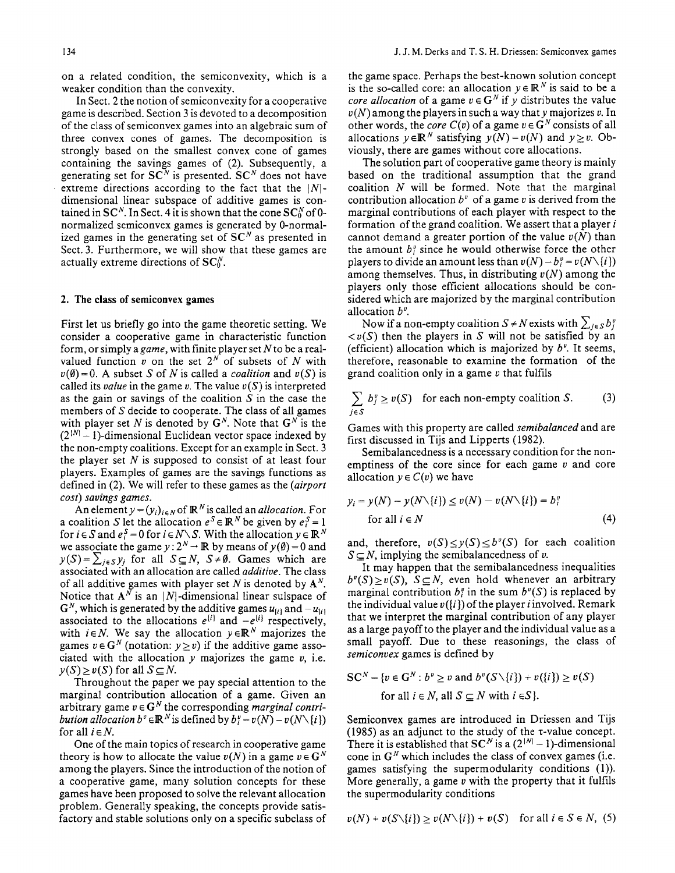on a related condition, the semiconvexity, which is a weaker condition than the convexity.

In Sect. 2 the notion of semiconvexity for a cooperative game is described. Section 3 is devoted to a decomposition of the class of semiconvex games into an algebraic sum of three convex cones of games. The decomposition is strongly based on the smallest convex cone of games containing the savings games of (2). Subsequently, a generating set for  $SC^N$  is presented.  $SC^N$  does not have extreme directions according to the fact that the  $|N|$ dimensional linear subspace of additive games is contained in SC<sup>N</sup>. In Sect. 4 it is shown that the cone  $SC_0^N$  of 0normalized semiconvex games is generated by 0-normalized games in the generating set of  $SC^N$  as presented in Sect. 3. Furthermore, we will show that these games are actually extreme directions of  $SC_0^N$ .

#### 2. The class **of semiconvex games**

First let us briefly go into the game theoretic setting. We consider a cooperative game in characteristic function form, or simply a *game,* with finite player set Nto be a realvalued function  $v$  on the set  $2^N$  of subsets of N with  $v(\emptyset) = 0$ . A subset S of N is called a *coalition* and  $v(S)$  is called its *value* in the game v. The value  $v(S)$  is interpreted as the gain or savings of the coalition  $S$  in the case the members of S decide to cooperate. The class of all games with player set N is denoted by  $G^N$ . Note that  $G^N$  is the  $(2^{N} - 1)$ -dimensional Euclidean vector space indexed by the non-empty coalitions. Except for an example in Sect. 3 the player set  $N$  is supposed to consist of at least four players. Examples of games are the savings functions as defined in (2). We will refer to these games as the *(airport cost) savings games.* 

An element  $y = (y_i)_{i \in N}$  of  $\mathbb{R}^N$  is called an *allocation*. For a coalition S let the allocation  $e^S \in \mathbb{R}^N$  be given by  $e_i^S = 1$ for  $i \in S$  and  $e_i^S = 0$  for  $i \in N \setminus S$ . With the allocation  $y \in \mathbb{R}^N$ we associate the game  $y: 2^N \to \mathbb{R}$  by means of  $y(\emptyset) = 0$  and  $y(S) = \sum_{i \in S} y_i$  for all  $S \subseteq N$ ,  $S \neq \emptyset$ . Games which are associated with an allocation are called *additive.* The class of all additive games with player set N is denoted by  $A^N$ . Notice that  $A^N$  is an |N|-dimensional linear sulspace of  $G<sup>N</sup>$ , which is generated by the additive games  $u_{(i)}$  and  $-u_{(i)}$ associated to the allocations  $e^{i\theta}$  and  $-e^{i\theta}$  respectively, with  $i \in N$ . We say the allocation  $y \in \mathbb{R}^N$  majorizes the games  $v \in G^N$  (notation:  $y \ge v$ ) if the additive game associated with the allocation  $y$  majorizes the game  $v$ , i.e.  $y(S) \ge v(S)$  for all  $S \subseteq N$ .

Throughout the paper we pay special attention to the marginal contribution allocation of a game. Given an arbitrary game  $v \in G^N$  the corresponding *marginal contribution allocation b*<sup>v</sup>  $\in \mathbb{R}^N$  is defined by  $b_i^v = v(N) - v(N\setminus\{i\})$ for all  $i \in N$ .

One of the main topics of research in cooperative game theory is how to allocate the value  $v(N)$  in a game  $v \in G^N$ among the players. Since the introduction of the notion of a cooperative game, many solution concepts for these games have been proposed to solve the relevant allocation problem. Generally speaking, the concepts provide satisfactory and stable solutions only on a specific subclass of

the game space. Perhaps the best-known solution concept is the so-called core: an allocation  $y \in \mathbb{R}^N$  is said to be a *core allocation* of a game  $v \in G^N$  if y distributes the value  $v(N)$  among the players in such a way that y majorizes v. In other words, the *core*  $C(v)$  of a game  $v \in G^N$  consists of all allocations  $y \in \mathbb{R}^N$  satisfying  $y(N) = v(N)$  and  $y \geq v$ . Obviously, there are games without core allocations.

The solution part of cooperative game theory is mainly based on the traditional assumption that the grand coalition  $N$  will be formed. Note that the marginal contribution allocation  $b^v$  of a game v is derived from the marginal contributions of each player with respect to the formation of the grand coalition. We assert that a player  $i$ cannot demand a greater portion of the value  $v(N)$  than the amount  $b_i^v$  since he would otherwise force the other players to divide an amount less than  $v(N) - b_i^v = v(N\setminus\{i\})$ among themselves. Thus, in distributing *v(N)* among the players only those efficient allocations should be considered which are majorized by the marginal contribution allocation  $b^{\nu}$ .

Now if a non-empty coalition  $S \neq N$  exists with  $\sum_{j \in S} b_j^{\nu}$  $\langle v(S)$  then the players in S will not be satisfied by an (efficient) allocation which is majorized by  $b^v$ . It seems, therefore, reasonable to examine the formation of the grand coalition only in a game  $\nu$  that fulfils

$$
\sum_{j \in S} b_j^v \ge v(S) \quad \text{for each non-empty coalition } S. \tag{3}
$$

Games with this property are called *semibalanced* and are first discussed in Tijs and Lipperts (1982).

Semibalancedness is a necessary condition for the nonemptiness of the core since for each game  $v$  and core allocation  $y \in C(v)$  we have

$$
y_i = y(N) - y(N\setminus\{i\}) \le v(N) - v(N\setminus\{i\}) = b_i^v
$$
  
for all  $i \in N$  (4)

and, therefore,  $v(S) \le y(S) \le b^v(S)$  for each coalition  $S \subseteq N$ , implying the semibalancedness of v.

It may happen that the semibalancedness inequalities  $b^{\nu}(S) \geq \nu(S)$ ,  $S \subseteq N$ , even hold whenever an arbitrary marginal contribution  $b_i^v$  in the sum  $b^v(S)$  is replaced by the individual value  $v(i)$  of the player *i* involved. Remark that we interpret the marginal contribution of any player as a large payoff to the player and the individual value as a small payoff. Due to these reasonings, the class of *semiconvex* games is defined by

$$
SC^N = \{v \in G^N : b^v \ge v \text{ and } b^v(S \setminus \{i\}) + v(\{i\}) \ge v(S)
$$
  
for all  $i \in N$ , all  $S \subseteq N$  with  $i \in S\}$ .

Semiconvex games are introduced in Driessen and Tijs (1985) as an adjunct to the study of the z-value concept. There it is established that SC<sup>N</sup> is a  $(2^{|N|} - 1)$ -dimensional cone in  $G^N$  which includes the class of convex games (i.e. games satisfying the supermodularity conditions (1)). More generally, a game  $v$  with the property that it fulfils the supermodularity conditions

$$
v(N) + v(S\setminus\{i\}) \ge v(N\setminus\{i\}) + v(S) \quad \text{for all } i \in S \in N, (5)
$$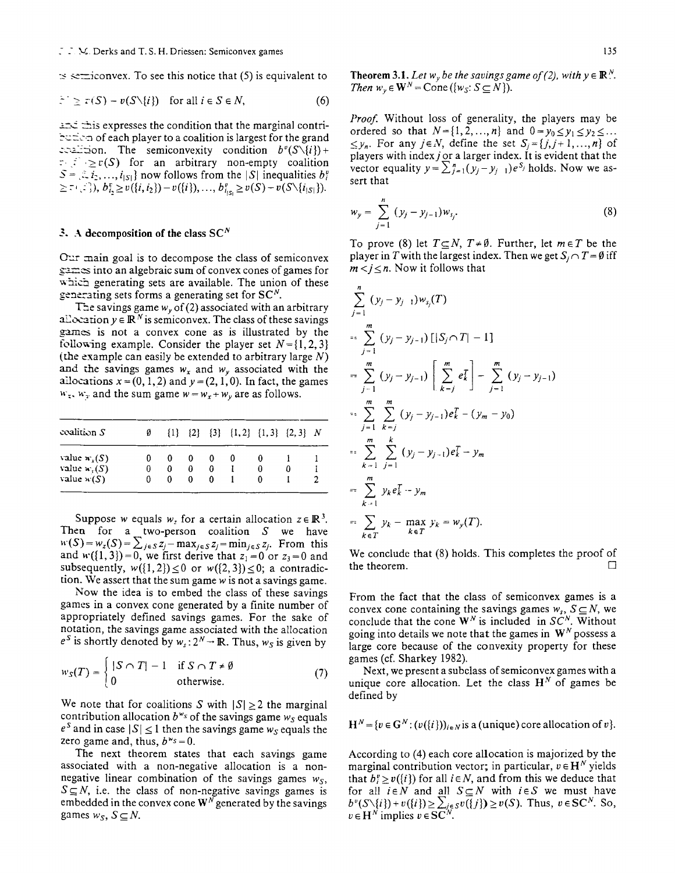## $\therefore$  M. Derks and T.S. H. Driessen: Semiconvex games 135

 $\approx$  set is sequivalent to see this notice that (5) is equivalent to

$$
\tilde{z}^{\top} \ge \tau(S) - v(S \setminus \{i\}) \quad \text{for all } i \in S \in N,
$$
 (6)

.:\_\_d ~.~is expresses the condition that the marginal contri- -'~::2cn of each player to a coalition is largest for the grand coalition. The semiconvexity condition  $b^v(S\setminus\{i\})$ +  $r: \mathbb{R} \geq r(S)$  for an arbitrary non-empty coalition  $S = \{i_1, ..., i_{|S|}\}$  now follows from the  $|S|$  inequalities  $b_i^v$  $\geq$   $\subset$   $\subset$   $\subset$   $\subset$   $\subset$   $\setminus$   $\{i_1, i_2\}$   $- v({i})$ ,  $\ldots$ ,  $b_{i_{1S_i}}^v \geq v(S) - v(S\setminus {i_{|S|}}).$ 

# **3.** A decomposition of the class  $SC^N$

Our main goal is to decompose the class of semiconvex  $s = \frac{1}{2}$  into an algebraic sum of convex cones of games for which generating sets are available. The union of these generating sets forms a generating set for  $SC<sup>N</sup>$ .

The savings game  $w<sub>v</sub>$  of (2) associated with an arbitrary  $\exists$  allocation  $y \in \mathbb{R}^N$  is semiconvex. The class of these savings games is not a convex cone as is illustrated by the following example. Consider the player set  $N = \{1, 2, 3\}$ (the example can easily be extended to arbitrary large  $N$ ) and the savings games  $w_x$  and  $w_y$  associated with the allocations  $x = (0, 1, 2)$  and  $y = (2, 1, 0)$ . In fact, the games  $w_x$ ,  $w_y$  and the sum game  $w = w_x + w_y$  are as follows.

| $\alpha$ coalition $S$ |   |   |   | $\{1\}$ $\{2\}$ $\{3\}$ $\{1,2\}$ $\{1,3\}$ $\{2,3\}$ N |  |  |
|------------------------|---|---|---|---------------------------------------------------------|--|--|
| value $w_r(S)$         |   |   |   |                                                         |  |  |
| value $w_i(S)$         | 0 | o | 0 |                                                         |  |  |
| value $w(S)$           |   |   | o |                                                         |  |  |
|                        |   |   |   |                                                         |  |  |

Suppose w equals  $w<sub>z</sub>$  for a certain allocation  $z \in \mathbb{R}^3$ . Then for a two-person coalition  $S$  we have  $w(S) = w_z(S) = \sum_{i \in S} z_i - \max_{i \in S} z_i = \min_{i \in S} z_i$ . From this and  $w({1, 3})=0$ , we first derive that  $z_1=0$  or  $z_3=0$  and subsequently,  $w({1, 2}) \le 0$  or  $w({2, 3}) \le 0$ ; a contradiction. We assert that the sum game w is not a savings game.

Now the idea is to embed the class of these savings games in a convex cone generated by a finite number of appropriately defined savings games. For the sake of notation, the savings game associated with the allocation  $e^S$  is shortly denoted by  $w_s: 2^N \rightarrow \mathbb{R}$ . Thus,  $w_S$  is given by

$$
w_S(T) = \begin{cases} |S \cap T| - 1 & \text{if } S \cap T \neq \emptyset \\ 0 & \text{otherwise.} \end{cases}
$$
(7)

We note that for coalitions S with  $|S| \ge 2$  the marginal contribution allocation  $b^{w_s}$  of the savings game  $w_s$  equals  $e^S$  and in case  $|S| \leq 1$  then the savings game  $w_S$  equals the zero game and, thus,  $b^{w_s}=0$ .

The next theorem states that each savings game associated with a non-negative allocation is a nonnegative linear combination of the savings games *Ws,*   $S \subseteq N$ , i.e. the class of non-negative savings games is embedded in the convex cone  $W^N$  generated by the savings games  $w_S$ ,  $S \subseteq N$ .

**Theorem 3.1.** Let  $w_y$  be the savings game of (2), with  $y \in \mathbb{R}^N$ . *Then*  $w_v \in \mathbf{W}^N$  = Cone ({ $w_s: S \subseteq N$ }).

*Proof.* Without loss of generality, the players may be ordered so that  $N = \{1, 2, ..., n\}$  and  $0 = y_0 \le y_1 \le y_2 \le ...$  $\leq y_n$ . For any  $j \in N$ , define the set  $S_i = \{j, j+1, ..., n\}$  of players with index  $j$  or a larger index. It is evident that the vector equality  $y=\sum_{i=1}^n(y_i-y_{i-1})e^{S_i}$  holds. Now we assert that

$$
w_{y} = \sum_{j=1}^{n} (y_{j} - y_{j-1}) w_{s_{j}}.
$$
 (8)

To prove (8) let  $T \subseteq N$ ,  $T \neq \emptyset$ . Further, let  $m \in T$  be the player in T with the largest index. Then we get  $S_i \cap T = \emptyset$  iff  $m < j \leq n$ . Now it follows that

$$
\sum_{j=1}^{n} (y_{j} - y_{j-1}) w_{s_{j}}(T)
$$
\n=
$$
\sum_{j=1}^{m} (y_{j} - y_{j-1}) [|S_{j} \cap T| - 1]
$$
\n=
$$
\sum_{j=1}^{m} (y_{j} - y_{j-1}) \left[ \sum_{k=j}^{m} e_{k}^{T} \right] - \sum_{j=1}^{m} (y_{j} - y_{j-1})
$$
\n=
$$
\sum_{j=1}^{m} \sum_{k=j}^{m} (y_{j} - y_{j-1}) e_{k}^{T} - (y_{m} - y_{0})
$$
\n=
$$
\sum_{k=1}^{m} \sum_{j=1}^{k} (y_{j} - y_{j-1}) e_{k}^{T} - y_{m}
$$
\n=
$$
\sum_{k=1}^{m} y_{k} e_{k}^{T} - y_{m}
$$
\n=
$$
\sum_{k \in T} y_{k} - \max_{k \in T} y_{k} = w_{y}(T).
$$

We conclude that (8) holds. This completes the proof of the theorem.  $\Box$ 

From the fact that the class of semiconvex games is a convex cone containing the savings games  $w_s$ ,  $S \subseteq N$ , we conclude that the cone  $W^N$  is included in  $SC^N$ . Without going into details we note that the games in  $W^N$  possess a large core because of the convexity property for these games (cf. Sharkey 1982).

Next, we present a subclass of semiconvex games with a unique core allocation. Let the class  $H^N$  of games be defined by

 $H^N = \{v \in G^N : (v(\{i\}))_{i \in N} \text{ is a (unique) core allocation of } v\}.$ 

According to (4) each core allocation is majorized by the marginal contribution vector; in particular,  $v \in H^N$  yields that  $b_i^v \ge v({i})$  for all  $i \in N$ , and from this we deduce that for all  $i \in N$  and all  $S \subseteq N$  with  $i \in S$  we must have  $b^{v}(S\setminus\{i\})+v(\{i\})\geq \sum_{i\in S}v(\{j\})\geq v(S).$  Thus,  $v\in SC^{N}$ . So,  $v \in H^N$  implies  $v \in SC^N$ .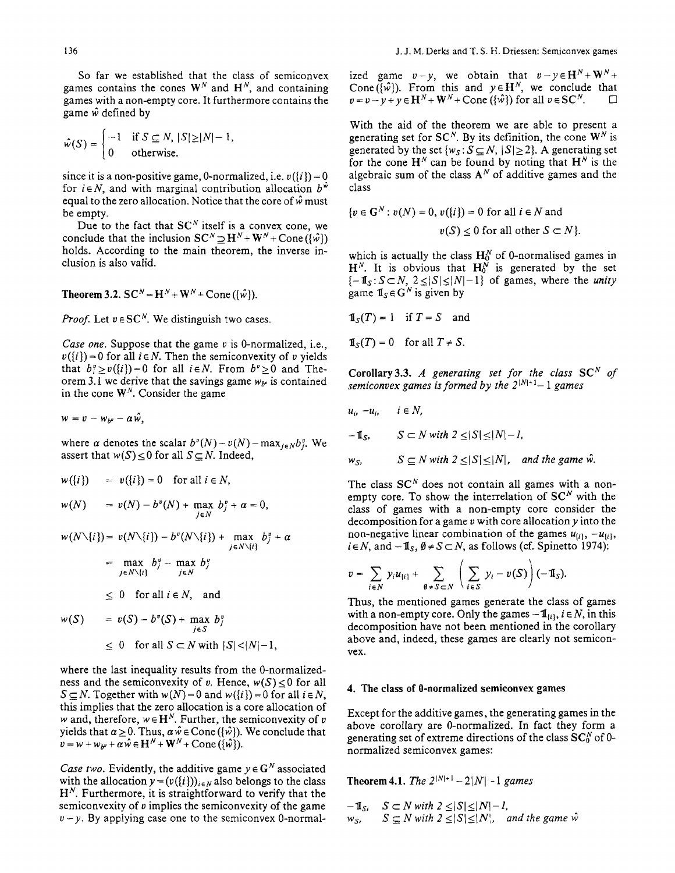So far we established that the class of semiconvex games contains the cones  $W^N$  and  $H^N$ , and containing games with a non-empty core. It furthermore contains the game  $\hat{w}$  defined by

$$
\hat{w}(S) = \begin{cases}\n-1 & \text{if } S \subseteq N, \, |S| \ge |N| - 1, \\
0 & \text{otherwise.}\n\end{cases}
$$

since it is a non-positive game, 0-normalized, i.e.  $v({i}) = 0$ for  $i \in N$ , and with marginal contribution allocation  $b^{\tilde{w}}$ equal to the zero allocation. Notice that the core of  $\hat{w}$  must be empty.

Due to the fact that  $SC^N$  itself is a convex cone, we conclude that the inclusion  $SC^N \supset H^N + W^N + Cone(\hat{w})$ holds. According to the main theorem, the inverse inclusion is also valid.

**Theorem 3.2.**  $SC^N = H^N + W^N + Cone(\lbrace \hat{w} \rbrace)$ .

*Proof.* Let  $v \in SC^N$ . We distinguish two cases.

*Case one.* Suppose that the game v is 0-normalized, i.e.,  $v({i}) = 0$  for all  $i \in N$ . Then the semiconvexity of v yields that  $b_i^v \ge v({i})=0$  for all  $i \in N$ . From  $b^v \ge 0$  and Theorem 3.1 we derive that the savings game  $w_{\mu}$  is contained in the cone  $W<sup>N</sup>$ . Consider the game

$$
w = v - w_{b^{\nu}} - \alpha \hat{w},
$$

where  $\alpha$  denotes the scalar  $b^{\nu}(N)-v(N)-\max_{i\in N}b^{\nu}_{i}$ . We assert that  $w(S) \leq 0$  for all  $S \subseteq N$ . Indeed,

 $w({i}) = v({i}) = 0$  for all  $i \in N$ ,

$$
w(N) = v(N) - b^{\nu}(N) + \max_{j \in N} b_j^{\nu} + \alpha = 0,
$$

 $w(N\setminus\{i\}) = v(N\setminus\{i\}) - b^v(N\setminus\{i\}) + \max b_j^v + \alpha$ *jeN\{i}*   $=$  max  $b_j^v$  - max  $b_j^v$ <br>*j*eN\{*i*} *j*eN

$$
\leq 0
$$
 for all  $i \in N$ , and

$$
w(S) = v(S) - b^{\nu}(S) + \max_{j \in S} b^{\nu}_{j}
$$
  
\n
$$
\leq 0 \quad \text{for all } S \subset N \text{ with } |S| < |N| - 1,
$$

where the last inequality results from the 0-normalizedness and the semiconvexity of v. Hence,  $w(S) \le 0$  for all  $S \subseteq N$ . Together with  $w(N) = 0$  and  $w({i}) = 0$  for all  $i \in N$ , this implies that the zero allocation is a core allocation of w and, therefore,  $w \in H^N$ . Further, the semiconvexity of v yields that  $\alpha \ge 0$ . Thus,  $\alpha \hat{w} \in \text{Cone}(\{\hat{w}\})$ . We conclude that  $v = w + w_{b} + \alpha \hat{w} \in \mathbf{H}^{N} + \mathbf{W}^{N} + \text{Cone} (\{\hat{w}\}).$ 

*Case two.* Evidently, the additive game  $y \in G^N$  associated with the allocation  $y = (v({i}))_{i \in N}$  also belongs to the class  $H<sup>N</sup>$ . Furthermore, it is straightforward to verify that the semiconvexity of v implies the semiconvexity of the game  $v-y$ . By applying case one to the semiconvex 0-normalized game  $v-y$ , we obtain that  $v-y \in H^N + W^N +$ Cone ( $\{\hat{w}\}\$ ). From this and  $y \in H^N$ , we conclude that  $v = v - y + y \in \mathbf{H}^{N} + \mathbf{W}^{N} + \text{Cone} (\{\hat{w}\})$  for all  $v \in \mathbf{SC}^{N}$ .

With the aid of the theorem we are able to present a generating set for  $SC^N$ . By its definition, the cone  $W^N$  is generated by the set  $\{w_s : S \subseteq N, |S| \geq 2\}$ . A generating set for the cone  $H^N$  can be found by noting that  $H^N$  is the algebraic sum of the class  $A^N$  of additive games and the class

$$
\{v \in \mathbf{G}^N : v(N) = 0, v(\{i\}) = 0 \text{ for all } i \in N \text{ and}
$$

$$
v(S) \le 0 \text{ for all other } S \subset N\}
$$

which is actually the class  $H_0^N$  of 0-normalised games in  $H^N$ . It is obvious that  $H_0^N$  is generated by the set  $\{-1\,\leq S\subset N, 2\leq |S|\leq |N|-1\}$  of games, where the *unity* game  $\mathbf{I}_s \in \mathbf{G}^N$  is given by

$$
\mathbf{1}_{S}(T) = 1 \quad \text{if } T = S \quad \text{and}
$$

$$
\mathbf{1}_{S}(T) = 0 \quad \text{for all } T \neq S.
$$

 $\mathbb{R}^2$ 

Corollary 3.3. *A* generating set for the class  $SC^N$  of *semiconvex games is formed by the*  $2^{|N|+1}-1$  *games* 

$$
u_i, -u_i, \quad i \in N,
$$
  
\n
$$
-\mathbb{1}_S, \quad S \subset N \text{ with } 2 \leq |S| \leq |N| - 1,
$$
  
\n
$$
w_S, \quad S \subseteq N \text{ with } 2 \leq |S| \leq |N|, \text{ and the game } \hat{w}.
$$

The class  $SC<sup>N</sup>$  does not contain all games with a nonempty core. To show the interrelation of  $SC^N$  with the class of games with a non-empty core consider the decomposition for a game  $\nu$  with core allocation  $\nu$  into the non-negative linear combination of the games  $u_{ii}$ ,  $-u_{ii}$ ,  $i \in N$ , and  $-\mathbf{1}_S$ ,  $\emptyset \neq S \subset N$ , as follows (cf. Spinetto 1974):

$$
v = \sum_{i \in N} y_i u_{\{i\}} + \sum_{\emptyset \neq S \subset N} \left( \sum_{i \in S} y_i - v(S) \right) (-1\! \mathrm{I}_S).
$$

Thus, the mentioned games generate the class of games with a non-empty core. Only the games  $-\mathbf{1}_{\{i\}}, i \in \mathbb{N}$ , in this decomposition have not been mentioned in the corollary above and, indeed, these games are clearly not semiconvex.

#### 4. The class **of 0-normalized semiconvex games**

Except for the additive games, the generating games in the above corollary are 0-normalized. In fact they form a generating set of extreme directions of the class  $SC_0<sup>N</sup>$  of 0normalized semiconvex games:

**Theorem 4.1.** *The*  $2^{|N|+1} - 2|N| - 1$  *games* 

$$
-1 \quad S \subset N \text{ with } 2 \leq |S| \leq |N| - 1,
$$
  

$$
w_S, \qquad S \subseteq N \text{ with } 2 \leq |S| \leq |N|, \text{ and the game } \hat{w}
$$